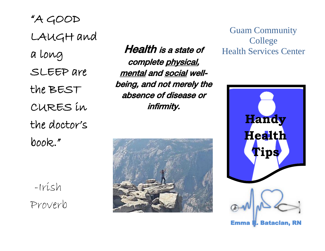LAUGH and "A GOOD a long SLEEP are the BEST CURES in the doctor's book."

-Irish Proverb

Health is a state of complete physical, mental and social wellbeing, and not merely the absence of disease or infirmity.



Guam Community College Health Services Center